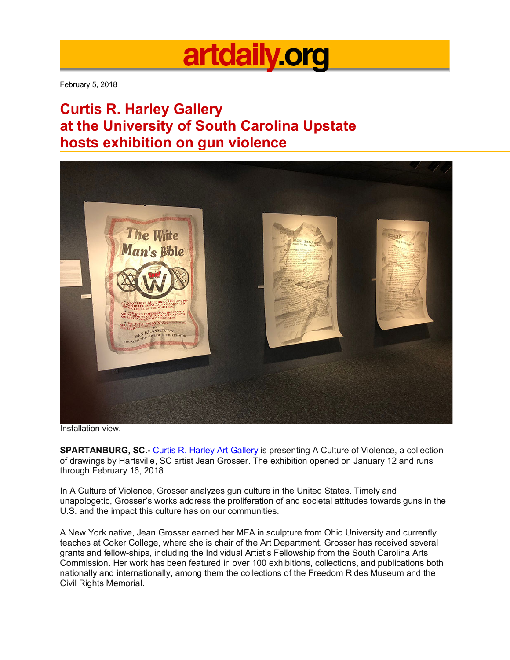## artdaily org

February 5, 2018

## **Curtis R. Harley Gallery at the University of South Carolina Upstate hosts exhibition on gun violence**



Installation view.

**SPARTANBURG, SC.-** Curtis R. Harley Art Gallery is presenting A Culture of Violence, a collection of drawings by Hartsville, SC artist Jean Grosser. The exhibition opened on January 12 and runs through February 16, 2018.

In A Culture of Violence, Grosser analyzes gun culture in the United States. Timely and unapologetic, Grosser's works address the proliferation of and societal attitudes towards guns in the U.S. and the impact this culture has on our communities.

A New York native, Jean Grosser earned her MFA in sculpture from Ohio University and currently teaches at Coker College, where she is chair of the Art Department. Grosser has received several grants and fellow-ships, including the Individual Artist's Fellowship from the South Carolina Arts Commission. Her work has been featured in over 100 exhibitions, collections, and publications both nationally and internationally, among them the collections of the Freedom Rides Museum and the Civil Rights Memorial.